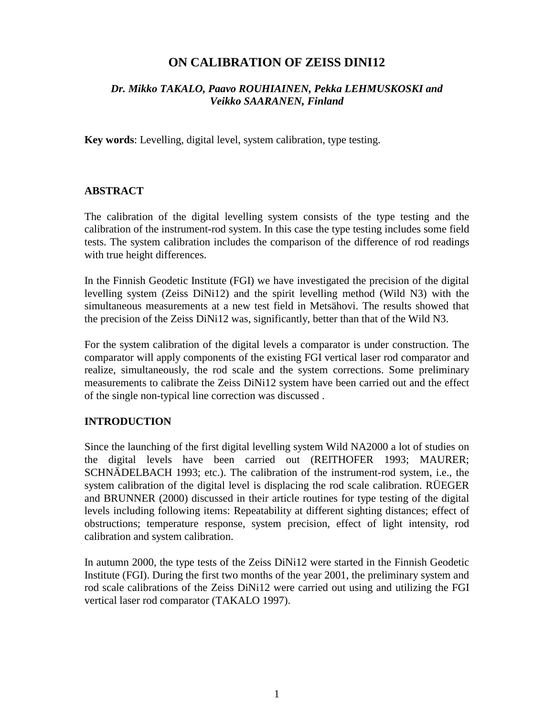# **ON CALIBRATION OF ZEISS DINI12**

# *Dr. Mikko TAKALO, Paavo ROUHIAINEN, Pekka LEHMUSKOSKI and Veikko SAARANEN, Finland*

**Key words**: Levelling, digital level, system calibration, type testing.

### **ABSTRACT**

The calibration of the digital levelling system consists of the type testing and the calibration of the instrument-rod system. In this case the type testing includes some field tests. The system calibration includes the comparison of the difference of rod readings with true height differences.

In the Finnish Geodetic Institute (FGI) we have investigated the precision of the digital levelling system (Zeiss DiNi12) and the spirit levelling method (Wild N3) with the simultaneous measurements at a new test field in Metsähovi. The results showed that the precision of the Zeiss DiNi12 was, significantly, better than that of the Wild N3.

For the system calibration of the digital levels a comparator is under construction. The comparator will apply components of the existing FGI vertical laser rod comparator and realize, simultaneously, the rod scale and the system corrections. Some preliminary measurements to calibrate the Zeiss DiNi12 system have been carried out and the effect of the single non-typical line correction was discussed .

#### **INTRODUCTION**

Since the launching of the first digital levelling system Wild NA2000 a lot of studies on the digital levels have been carried out (REITHOFER 1993; MAURER; SCHNÄDELBACH 1993; etc.). The calibration of the instrument-rod system, i.e., the system calibration of the digital level is displacing the rod scale calibration. RÜEGER and BRUNNER (2000) discussed in their article routines for type testing of the digital levels including following items: Repeatability at different sighting distances; effect of obstructions; temperature response, system precision, effect of light intensity, rod calibration and system calibration.

In autumn 2000, the type tests of the Zeiss DiNi12 were started in the Finnish Geodetic Institute (FGI). During the first two months of the year 2001, the preliminary system and rod scale calibrations of the Zeiss DiNi12 were carried out using and utilizing the FGI vertical laser rod comparator (TAKALO 1997).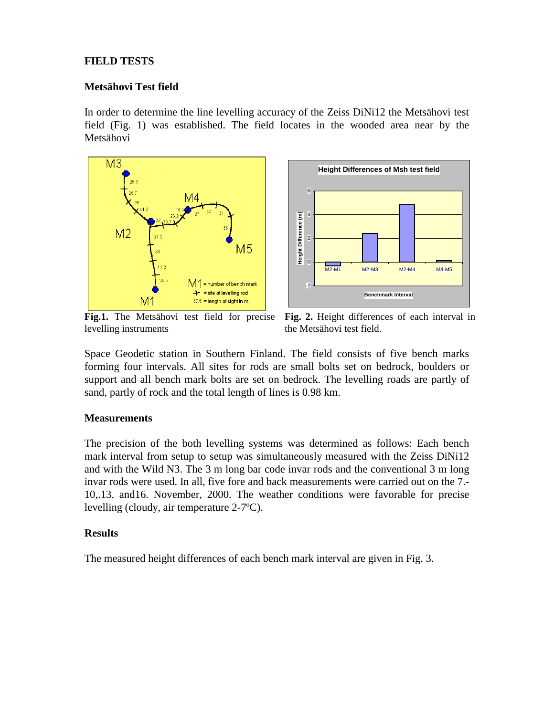### **FIELD TESTS**

#### **Metsähovi Test field**

In order to determine the line levelling accuracy of the Zeiss DiNi12 the Metsähovi test field (Fig. 1) was established. The field locates in the wooded area near by the Metsähovi





**Fig.1.** The Metsähovi test field for precise levelling instruments

**Fig. 2.** Height differences of each interval in the Metsähovi test field.

Space Geodetic station in Southern Finland. The field consists of five bench marks forming four intervals. All sites for rods are small bolts set on bedrock, boulders or support and all bench mark bolts are set on bedrock. The levelling roads are partly of sand, partly of rock and the total length of lines is 0.98 km.

#### **Measurements**

The precision of the both levelling systems was determined as follows: Each bench mark interval from setup to setup was simultaneously measured with the Zeiss DiNi12 and with the Wild N3. The 3 m long bar code invar rods and the conventional 3 m long invar rods were used. In all, five fore and back measurements were carried out on the 7.- 10,.13. and16. November, 2000. The weather conditions were favorable for precise levelling (cloudy, air temperature 2-7ºC).

#### **Results**

The measured height differences of each bench mark interval are given in Fig. 3.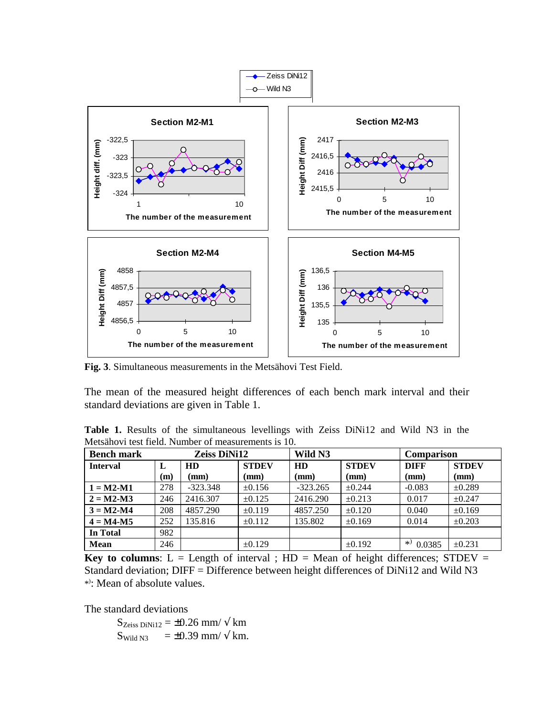

**Fig. 3**. Simultaneous measurements in the Metsähovi Test Field.

The mean of the measured height differences of each bench mark interval and their standard deviations are given in Table 1.

**Table 1.** Results of the simultaneous levellings with Zeiss DiNi12 and Wild N3 in the Metsähovi test field. Number of measurements is 10.

| <b>Bench mark</b> | Zeiss DiNi12 |            |              | Wild N3    |              | <b>Comparison</b> |              |
|-------------------|--------------|------------|--------------|------------|--------------|-------------------|--------------|
| <b>Interval</b>   | L            | HD         | <b>STDEV</b> | HD         | <b>STDEV</b> | <b>DIFF</b>       | <b>STDEV</b> |
|                   | (m)          | (mm)       | (mm)         | (mm)       | (mm)         | (mm)              | (mm)         |
| $1 = M2-M1$       | 278          | $-323.348$ | $\pm 0.156$  | $-323.265$ | $\pm 0.244$  | $-0.083$          | $\pm 0.289$  |
| $2 = M2-M3$       | 246          | 2416.307   | $\pm 0.125$  | 2416.290   | $\pm 0.213$  | 0.017             | ±0.247       |
| $3 = M2-M4$       | 208          | 4857.290   | $\pm 0.119$  | 4857.250   | $\pm 0.120$  | 0.040             | $\pm 0.169$  |
| $4 = M4 - M5$     | 252          | 135.816    | ±0.112       | 135.802    | $\pm 0.169$  | 0.014             | $\pm 0.203$  |
| In Total          | 982          |            |              |            |              |                   |              |
| <b>Mean</b>       | 246          |            | $\pm 0.129$  |            | $\pm 0.192$  | *)<br>0.0385      | $\pm 0.231$  |

**Key to columns:**  $L =$  Length of interval ;  $HD =$  Mean of height differences; STDEV = Standard deviation; DIFF = Difference between height differences of DiNi12 and Wild N3 \*) : Mean of absolute values.

The standard deviations

 $S_{Zeiss\,DiNi12} = \pm 0.26$  mm/  $\sqrt{k}$ m  $S_{\text{Wild N3}}$  = ±0.39 mm/ $\sqrt{\text{km}}$ .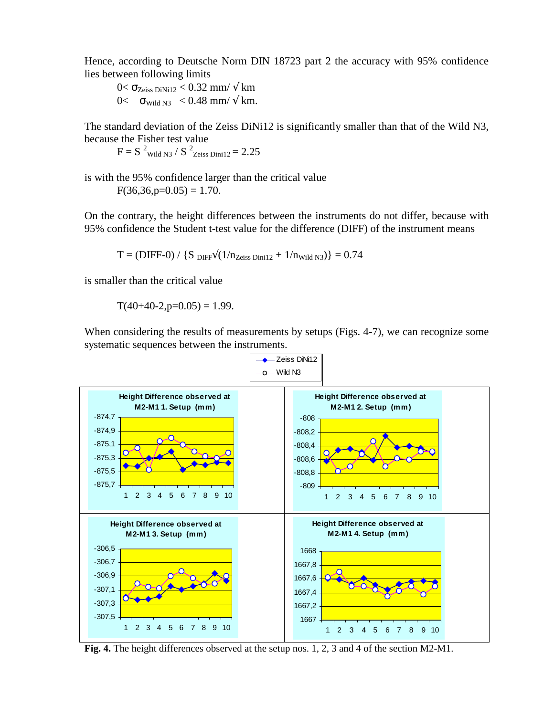Hence, according to Deutsche Norm DIN 18723 part 2 the accuracy with 95% confidence lies between following limits

 $0 < \sigma_{Zeiss\,DiNi12} < 0.32 \text{ mm/s} \times \text{ km}$  $0 \leq \sigma_{\text{Wild N3}} \leq 0.48 \text{ mm} / \sqrt{\text{ km}}.$ 

The standard deviation of the Zeiss DiNi12 is significantly smaller than that of the Wild N3, because the Fisher test value

 $F = S^{-2}$ Wild N3 /  $S^{-2}$ Zeiss Dini12 = 2.25

is with the 95% confidence larger than the critical value  $F(36,36,p=0.05) = 1.70$ .

On the contrary, the height differences between the instruments do not differ, because with 95% confidence the Student t-test value for the difference (DIFF) of the instrument means

 $T = (DIFF-0) / {S_{ DIFF} \sqrt{(1/n_{Zeiss \, Dini12} + 1/n_{Width\,N3})}} = 0.74$ 

is smaller than the critical value

 $T(40+40-2,p=0.05) = 1.99$ .

When considering the results of measurements by setups (Figs. 4-7), we can recognize some systematic sequences between the instruments.



**Fig. 4.** The height differences observed at the setup nos. 1, 2, 3 and 4 of the section M2-M1.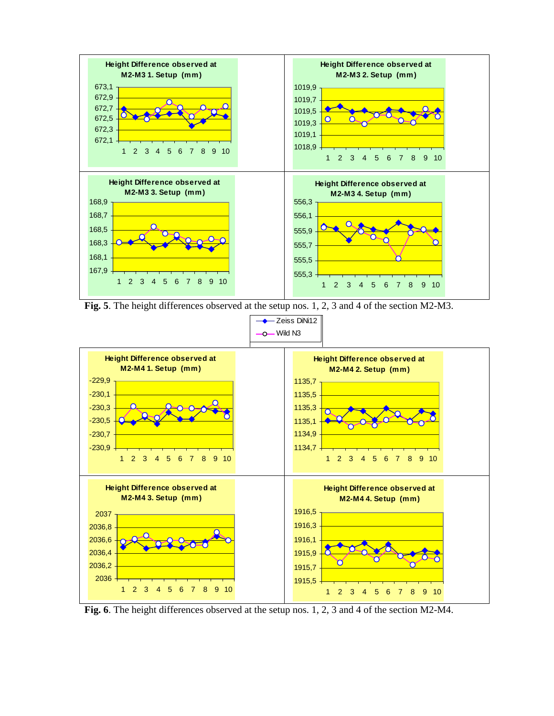

**Fig. 5**. The height differences observed at the setup nos. 1, 2, 3 and 4 of the section M2-M3.



**Fig. 6**. The height differences observed at the setup nos. 1, 2, 3 and 4 of the section M2-M4.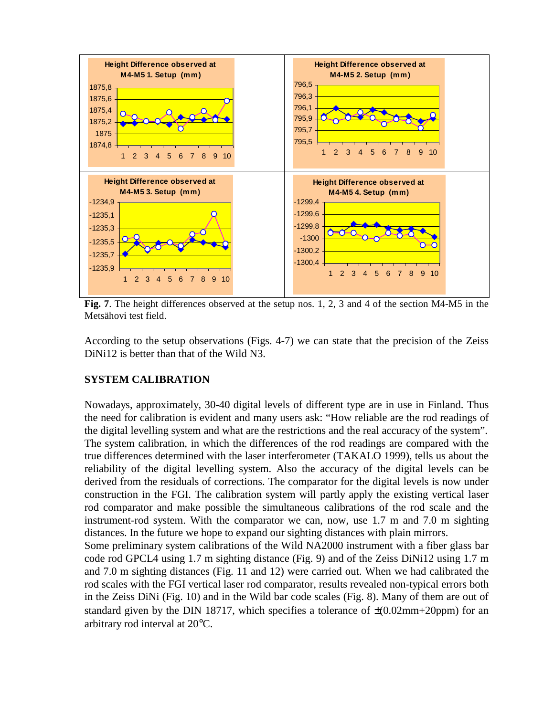

**Fig. 7**. The height differences observed at the setup nos. 1, 2, 3 and 4 of the section M4-M5 in the Metsähovi test field.

According to the setup observations (Figs. 4-7) we can state that the precision of the Zeiss DiNi12 is better than that of the Wild N3.

#### **SYSTEM CALIBRATION**

Nowadays, approximately, 30-40 digital levels of different type are in use in Finland. Thus the need for calibration is evident and many users ask: "How reliable are the rod readings of the digital levelling system and what are the restrictions and the real accuracy of the system". The system calibration, in which the differences of the rod readings are compared with the true differences determined with the laser interferometer (TAKALO 1999), tells us about the reliability of the digital levelling system. Also the accuracy of the digital levels can be derived from the residuals of corrections. The comparator for the digital levels is now under construction in the FGI. The calibration system will partly apply the existing vertical laser rod comparator and make possible the simultaneous calibrations of the rod scale and the instrument-rod system. With the comparator we can, now, use 1.7 m and 7.0 m sighting distances. In the future we hope to expand our sighting distances with plain mirrors.

Some preliminary system calibrations of the Wild NA2000 instrument with a fiber glass bar code rod GPCL4 using 1.7 m sighting distance (Fig. 9) and of the Zeiss DiNi12 using 1.7 m and 7.0 m sighting distances (Fig. 11 and 12) were carried out. When we had calibrated the rod scales with the FGI vertical laser rod comparator, results revealed non-typical errors both in the Zeiss DiNi (Fig. 10) and in the Wild bar code scales (Fig. 8). Many of them are out of standard given by the DIN 18717, which specifies a tolerance of  $\pm (0.02 \text{mm} + 20 \text{ppm})$  for an arbitrary rod interval at 20°C.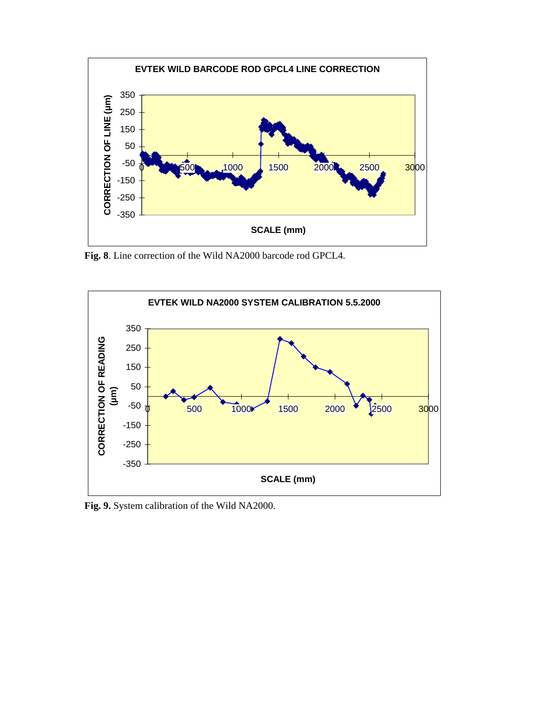

**Fig. 8**. Line correction of the Wild NA2000 barcode rod GPCL4.



**Fig. 9.** System calibration of the Wild NA2000.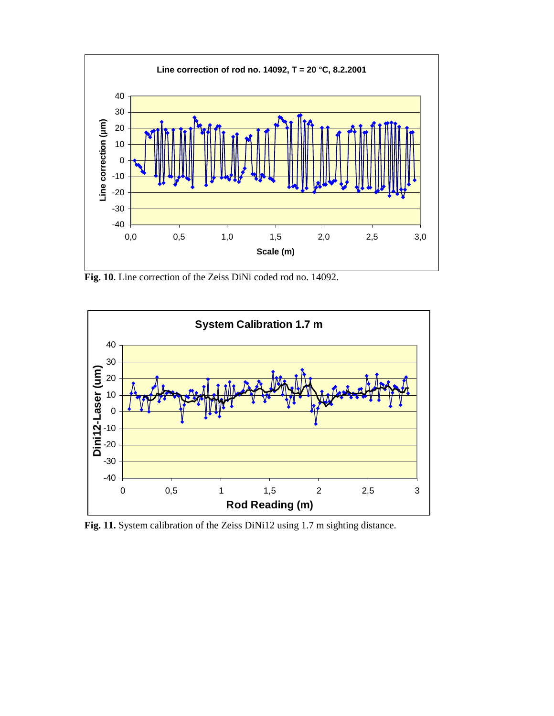

**Fig. 10**. Line correction of the Zeiss DiNi coded rod no. 14092.



**Fig. 11.** System calibration of the Zeiss DiNi12 using 1.7 m sighting distance.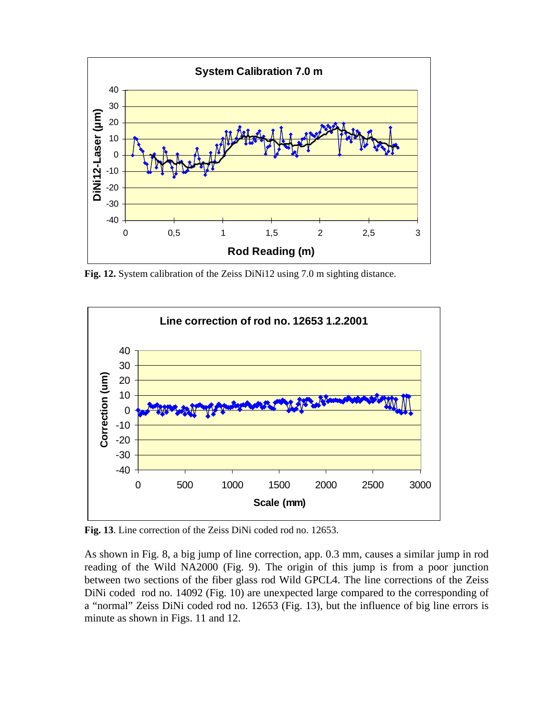

**Fig. 12.** System calibration of the Zeiss DiNi12 using 7.0 m sighting distance.



**Fig. 13**. Line correction of the Zeiss DiNi coded rod no. 12653.

As shown in Fig. 8, a big jump of line correction, app. 0.3 mm, causes a similar jump in rod reading of the Wild NA2000 (Fig. 9). The origin of this jump is from a poor junction between two sections of the fiber glass rod Wild GPCL4. The line corrections of the Zeiss DiNi coded rod no. 14092 (Fig. 10) are unexpected large compared to the corresponding of a "normal" Zeiss DiNi coded rod no. 12653 (Fig. 13), but the influence of big line errors is minute as shown in Figs. 11 and 12.